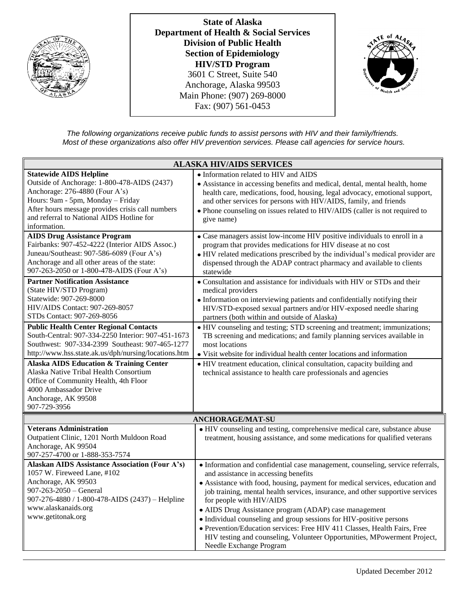

**State of Alaska Department of Health & Social Services Division of Public Health Section of Epidemiology HIV/STD Program** 3601 C Street, Suite 540 Anchorage, Alaska 99503 Main Phone: (907) 269-8000 Fax: (907) 561-0453



*The following organizations receive public funds to assist persons with HIV and their family/friends. Most of these organizations also offer HIV prevention services. Please call agencies for service hours.*

| <b>ALASKA HIV/AIDS SERVICES</b>                                                                                                                                                                                                                                       |                                                                                                                                                                                                                                                                                                                                                                                                                                                                                                                                                                                                                                          |
|-----------------------------------------------------------------------------------------------------------------------------------------------------------------------------------------------------------------------------------------------------------------------|------------------------------------------------------------------------------------------------------------------------------------------------------------------------------------------------------------------------------------------------------------------------------------------------------------------------------------------------------------------------------------------------------------------------------------------------------------------------------------------------------------------------------------------------------------------------------------------------------------------------------------------|
| <b>Statewide AIDS Helpline</b><br>Outside of Anchorage: 1-800-478-AIDS (2437)<br>Anchorage: 276-4880 (Four A's)<br>Hours: 9am - 5pm, Monday - Friday<br>After hours message provides crisis call numbers<br>and referral to National AIDS Hotline for<br>information. | • Information related to HIV and AIDS<br>• Assistance in accessing benefits and medical, dental, mental health, home<br>health care, medications, food, housing, legal advocacy, emotional support,<br>and other services for persons with HIV/AIDS, family, and friends<br>• Phone counseling on issues related to HIV/AIDS (caller is not required to<br>give name)                                                                                                                                                                                                                                                                    |
| <b>AIDS Drug Assistance Program</b><br>Fairbanks: 907-452-4222 (Interior AIDS Assoc.)<br>Juneau/Southeast: 907-586-6089 (Four A's)<br>Anchorage and all other areas of the state:<br>907-263-2050 or 1-800-478-AIDS (Four A's)                                        | • Case managers assist low-income HIV positive individuals to enroll in a<br>program that provides medications for HIV disease at no cost<br>• HIV related medications prescribed by the individual's medical provider are<br>dispensed through the ADAP contract pharmacy and available to clients<br>statewide                                                                                                                                                                                                                                                                                                                         |
| <b>Partner Notification Assistance</b><br>(State HIV/STD Program)<br>Statewide: 907-269-8000<br>HIV/AIDS Contact: 907-269-8057<br>STDs Contact: 907-269-8056                                                                                                          | • Consultation and assistance for individuals with HIV or STDs and their<br>medical providers<br>· Information on interviewing patients and confidentially notifying their<br>HIV/STD-exposed sexual partners and/or HIV-exposed needle sharing<br>partners (both within and outside of Alaska)                                                                                                                                                                                                                                                                                                                                          |
| <b>Public Health Center Regional Contacts</b><br>South-Central: 907-334-2250 Interior: 907-451-1673<br>Southwest: 907-334-2399 Southeast: 907-465-1277<br>http://www.hss.state.ak.us/dph/nursing/locations.htm                                                        | • HIV counseling and testing; STD screening and treatment; immunizations;<br>TB screening and medications; and family planning services available in<br>most locations<br>• Visit website for individual health center locations and information                                                                                                                                                                                                                                                                                                                                                                                         |
| <b>Alaska AIDS Education &amp; Training Center</b><br>Alaska Native Tribal Health Consortium<br>Office of Community Health, 4th Floor<br>4000 Ambassador Drive<br>Anchorage, AK 99508<br>907-729-3956                                                                 | • HIV treatment education, clinical consultation, capacity building and<br>technical assistance to health care professionals and agencies                                                                                                                                                                                                                                                                                                                                                                                                                                                                                                |
| <b>ANCHORAGE/MAT-SU</b>                                                                                                                                                                                                                                               |                                                                                                                                                                                                                                                                                                                                                                                                                                                                                                                                                                                                                                          |
| <b>Veterans Administration</b><br>Outpatient Clinic, 1201 North Muldoon Road<br>Anchorage, AK 99504<br>907-257-4700 or 1-888-353-7574                                                                                                                                 | • HIV counseling and testing, comprehensive medical care, substance abuse<br>treatment, housing assistance, and some medications for qualified veterans                                                                                                                                                                                                                                                                                                                                                                                                                                                                                  |
| <b>Alaskan AIDS Assistance Association (Four A's)</b><br>1057 W. Fireweed Lane, #102<br>Anchorage, AK 99503<br>$907 - 263 - 2050$ - General<br>907-276-4880 / 1-800-478-AIDS (2437) - Helpline<br>www.alaskanaids.org<br>www.getitonak.org                            | • Information and confidential case management, counseling, service referrals,<br>and assistance in accessing benefits<br>• Assistance with food, housing, payment for medical services, education and<br>job training, mental health services, insurance, and other supportive services<br>for people with HIV/AIDS<br>• AIDS Drug Assistance program (ADAP) case management<br>• Individual counseling and group sessions for HIV-positive persons<br>• Prevention/Education services: Free HIV 411 Classes, Health Fairs, Free<br>HIV testing and counseling, Volunteer Opportunities, MPowerment Project,<br>Needle Exchange Program |